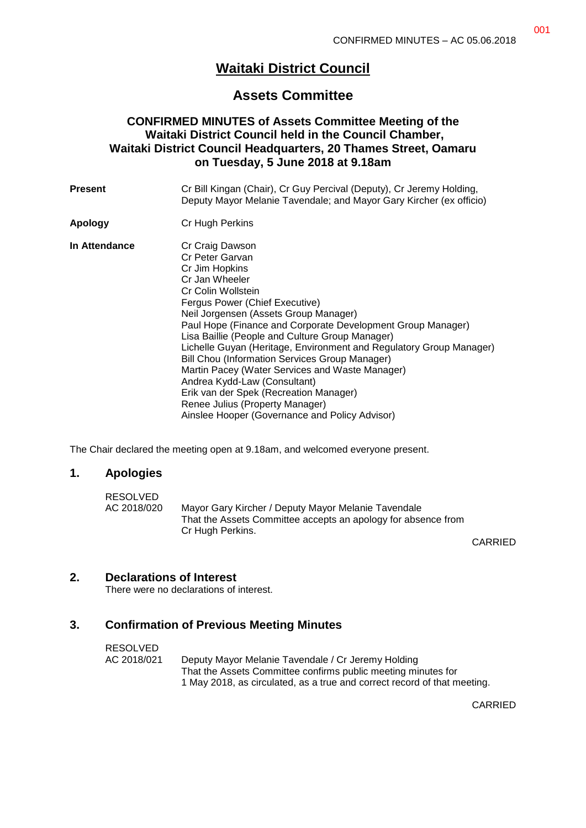# **Waitaki District Council**

## **Assets Committee**

### **CONFIRMED MINUTES of Assets Committee Meeting of the Waitaki District Council held in the Council Chamber, Waitaki District Council Headquarters, 20 Thames Street, Oamaru on Tuesday, 5 June 2018 at 9.18am**

| <b>Present</b> | Cr Bill Kingan (Chair), Cr Guy Percival (Deputy), Cr Jeremy Holding,<br>Deputy Mayor Melanie Tavendale; and Mayor Gary Kircher (ex officio)<br>Cr Hugh Perkins                                                                                                                                                                                                                                                                                                                                                                                                                                                                       |  |  |
|----------------|--------------------------------------------------------------------------------------------------------------------------------------------------------------------------------------------------------------------------------------------------------------------------------------------------------------------------------------------------------------------------------------------------------------------------------------------------------------------------------------------------------------------------------------------------------------------------------------------------------------------------------------|--|--|
| Apology        |                                                                                                                                                                                                                                                                                                                                                                                                                                                                                                                                                                                                                                      |  |  |
| In Attendance  | Cr Craig Dawson<br>Cr Peter Garvan<br>Cr Jim Hopkins<br>Cr Jan Wheeler<br>Cr Colin Wollstein<br>Fergus Power (Chief Executive)<br>Neil Jorgensen (Assets Group Manager)<br>Paul Hope (Finance and Corporate Development Group Manager)<br>Lisa Baillie (People and Culture Group Manager)<br>Lichelle Guyan (Heritage, Environment and Regulatory Group Manager)<br>Bill Chou (Information Services Group Manager)<br>Martin Pacey (Water Services and Waste Manager)<br>Andrea Kydd-Law (Consultant)<br>Erik van der Spek (Recreation Manager)<br>Renee Julius (Property Manager)<br>Ainslee Hooper (Governance and Policy Advisor) |  |  |

The Chair declared the meeting open at 9.18am, and welcomed everyone present.

#### **1. Apologies**

| RESOLVED    |                                                               |
|-------------|---------------------------------------------------------------|
| AC 2018/020 | Mayor Gary Kircher / Deputy Mayor Melanie Tavendale           |
|             | That the Assets Committee accepts an apology for absence from |
|             | Cr Hugh Perkins.                                              |

CARRIED

#### **2. Declarations of Interest**

There were no declarations of interest.

#### **3. Confirmation of Previous Meeting Minutes**

RESOLVED

AC 2018/021 Deputy Mayor Melanie Tavendale / Cr Jeremy Holding That the Assets Committee confirms public meeting minutes for 1 May 2018, as circulated, as a true and correct record of that meeting.

CARRIED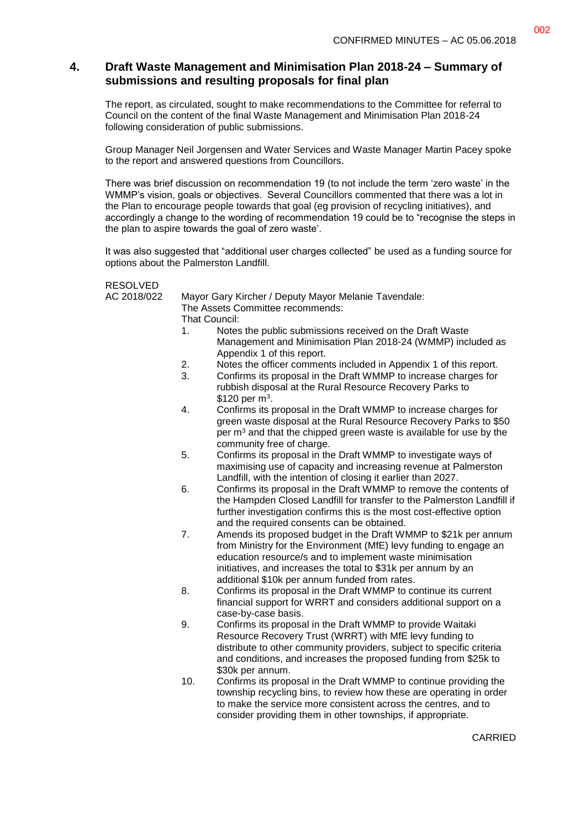#### **4. Draft Waste Management and Minimisation Plan 2018-24 – Summary of submissions and resulting proposals for final plan**

The report, as circulated, sought to make recommendations to the Committee for referral to Council on the content of the final Waste Management and Minimisation Plan 2018-24 following consideration of public submissions.

Group Manager Neil Jorgensen and Water Services and Waste Manager Martin Pacey spoke to the report and answered questions from Councillors.

There was brief discussion on recommendation 19 (to not include the term 'zero waste' in the WMMP's vision, goals or objectives. Several Councillors commented that there was a lot in the Plan to encourage people towards that goal (eg provision of recycling initiatives), and accordingly a change to the wording of recommendation 19 could be to "recognise the steps in the plan to aspire towards the goal of zero waste'.

It was also suggested that "additional user charges collected" be used as a funding source for options about the Palmerston Landfill.

RESOLVED<br>AC 2018/022 Mayor Gary Kircher / Deputy Mayor Melanie Tavendale: The Assets Committee recommends: That Council: 1. Notes the public submissions received on the Draft Waste Management and Minimisation Plan 2018-24 (WMMP) included as Appendix 1 of this report. 2. Notes the officer comments included in Appendix 1 of this report. 3. Confirms its proposal in the Draft WMMP to increase charges for rubbish disposal at the Rural Resource Recovery Parks to  $$120$  per m<sup>3</sup>. 4. Confirms its proposal in the Draft WMMP to increase charges for green waste disposal at the Rural Resource Recovery Parks to \$50 per  $m<sup>3</sup>$  and that the chipped green waste is available for use by the community free of charge. 5. Confirms its proposal in the Draft WMMP to investigate ways of maximising use of capacity and increasing revenue at Palmerston Landfill, with the intention of closing it earlier than 2027. 6. Confirms its proposal in the Draft WMMP to remove the contents of the Hampden Closed Landfill for transfer to the Palmerston Landfill if further investigation confirms this is the most cost-effective option and the required consents can be obtained.

- 7. Amends its proposed budget in the Draft WMMP to \$21k per annum from Ministry for the Environment (MfE) levy funding to engage an education resource/s and to implement waste minimisation initiatives, and increases the total to \$31k per annum by an additional \$10k per annum funded from rates.
- 8. Confirms its proposal in the Draft WMMP to continue its current financial support for WRRT and considers additional support on a case-by-case basis.
- 9. Confirms its proposal in the Draft WMMP to provide Waitaki Resource Recovery Trust (WRRT) with MfE levy funding to distribute to other community providers, subject to specific criteria and conditions, and increases the proposed funding from \$25k to \$30k per annum.
- 10. Confirms its proposal in the Draft WMMP to continue providing the township recycling bins, to review how these are operating in order to make the service more consistent across the centres, and to consider providing them in other townships, if appropriate.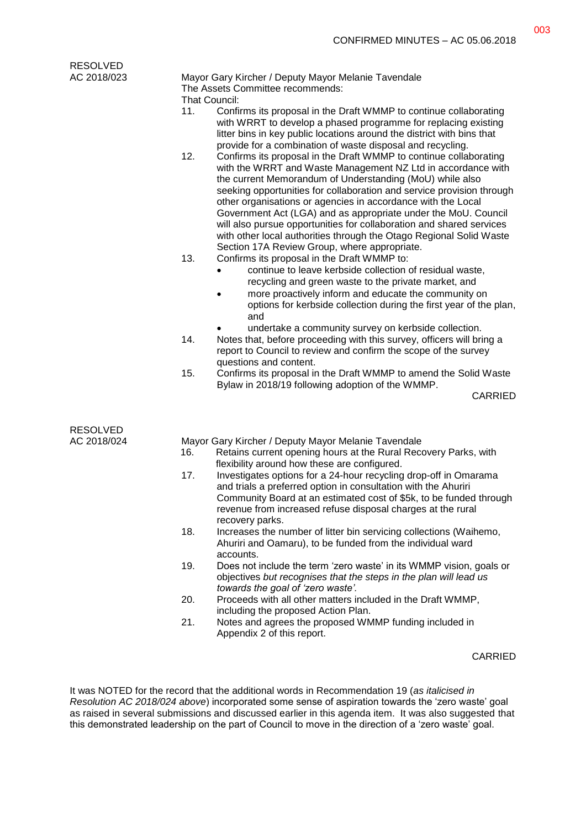| <b>RESOLVED</b> |                                                                                         |                                                                                                                                                                                                                                                                                                                                                                                                                                                                                                                                                                                                         |  |  |
|-----------------|-----------------------------------------------------------------------------------------|---------------------------------------------------------------------------------------------------------------------------------------------------------------------------------------------------------------------------------------------------------------------------------------------------------------------------------------------------------------------------------------------------------------------------------------------------------------------------------------------------------------------------------------------------------------------------------------------------------|--|--|
| AC 2018/023     | Mayor Gary Kircher / Deputy Mayor Melanie Tavendale<br>The Assets Committee recommends: |                                                                                                                                                                                                                                                                                                                                                                                                                                                                                                                                                                                                         |  |  |
|                 | That Council:                                                                           |                                                                                                                                                                                                                                                                                                                                                                                                                                                                                                                                                                                                         |  |  |
|                 | 11.                                                                                     | Confirms its proposal in the Draft WMMP to continue collaborating<br>with WRRT to develop a phased programme for replacing existing<br>litter bins in key public locations around the district with bins that<br>provide for a combination of waste disposal and recycling.                                                                                                                                                                                                                                                                                                                             |  |  |
|                 | 12.                                                                                     | Confirms its proposal in the Draft WMMP to continue collaborating<br>with the WRRT and Waste Management NZ Ltd in accordance with<br>the current Memorandum of Understanding (MoU) while also<br>seeking opportunities for collaboration and service provision through<br>other organisations or agencies in accordance with the Local<br>Government Act (LGA) and as appropriate under the MoU. Council<br>will also pursue opportunities for collaboration and shared services<br>with other local authorities through the Otago Regional Solid Waste<br>Section 17A Review Group, where appropriate. |  |  |
|                 | 13.                                                                                     | Confirms its proposal in the Draft WMMP to:                                                                                                                                                                                                                                                                                                                                                                                                                                                                                                                                                             |  |  |
|                 |                                                                                         | continue to leave kerbside collection of residual waste,                                                                                                                                                                                                                                                                                                                                                                                                                                                                                                                                                |  |  |
|                 |                                                                                         | recycling and green waste to the private market, and<br>more proactively inform and educate the community on                                                                                                                                                                                                                                                                                                                                                                                                                                                                                            |  |  |
|                 |                                                                                         | options for kerbside collection during the first year of the plan,<br>and                                                                                                                                                                                                                                                                                                                                                                                                                                                                                                                               |  |  |
|                 | 14.                                                                                     | undertake a community survey on kerbside collection.<br>Notes that, before proceeding with this survey, officers will bring a<br>report to Council to review and confirm the scope of the survey                                                                                                                                                                                                                                                                                                                                                                                                        |  |  |
|                 | 15.                                                                                     | questions and content.<br>Confirms its proposal in the Draft WMMP to amend the Solid Waste<br>Bylaw in 2018/19 following adoption of the WMMP.                                                                                                                                                                                                                                                                                                                                                                                                                                                          |  |  |
|                 |                                                                                         | <b>CARRIED</b>                                                                                                                                                                                                                                                                                                                                                                                                                                                                                                                                                                                          |  |  |
| <b>RESOLVED</b> |                                                                                         |                                                                                                                                                                                                                                                                                                                                                                                                                                                                                                                                                                                                         |  |  |
| AC 2018/024     | 16.                                                                                     | Mayor Gary Kircher / Deputy Mayor Melanie Tavendale<br>Retains current opening hours at the Rural Recovery Parks, with                                                                                                                                                                                                                                                                                                                                                                                                                                                                                  |  |  |
|                 |                                                                                         | flexibility around how these are configured.                                                                                                                                                                                                                                                                                                                                                                                                                                                                                                                                                            |  |  |
|                 | 17.                                                                                     | Investigates options for a 24-hour recycling drop-off in Omarama<br>and trials a preferred option in consultation with the Ahuriri                                                                                                                                                                                                                                                                                                                                                                                                                                                                      |  |  |
|                 |                                                                                         | Community Board at an estimated cost of \$5k, to be funded through<br>revenue from increased refuse disposal charges at the rural                                                                                                                                                                                                                                                                                                                                                                                                                                                                       |  |  |
|                 | 18.                                                                                     | recovery parks.<br>Increases the number of litter bin servicing collections (Waihemo,<br>Ahuriri and Oamaru), to be funded from the individual ward                                                                                                                                                                                                                                                                                                                                                                                                                                                     |  |  |
|                 |                                                                                         | accounts.                                                                                                                                                                                                                                                                                                                                                                                                                                                                                                                                                                                               |  |  |
|                 | 19.                                                                                     | Does not include the term 'zero waste' in its WMMP vision, goals or<br>objectives but recognises that the steps in the plan will lead us<br>towards the goal of 'zero waste'.                                                                                                                                                                                                                                                                                                                                                                                                                           |  |  |
|                 | 20.                                                                                     | Proceeds with all other matters included in the Draft WMMP,                                                                                                                                                                                                                                                                                                                                                                                                                                                                                                                                             |  |  |
|                 | 21.                                                                                     | including the proposed Action Plan.<br>Notes and agrees the proposed WMMP funding included in<br>Appendix 2 of this report.                                                                                                                                                                                                                                                                                                                                                                                                                                                                             |  |  |
|                 |                                                                                         | <b>CARRIED</b>                                                                                                                                                                                                                                                                                                                                                                                                                                                                                                                                                                                          |  |  |

It was NOTED for the record that the additional words in Recommendation 19 (*as italicised in Resolution AC 2018/024 above*) incorporated some sense of aspiration towards the 'zero waste' goal as raised in several submissions and discussed earlier in this agenda item. It was also suggested that this demonstrated leadership on the part of Council to move in the direction of a 'zero waste' goal.